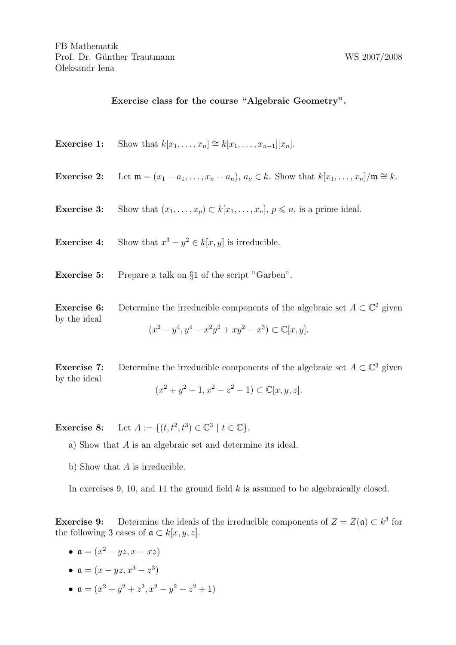## Exercise class for the course "Algebraic Geometry".

|                             | <b>Exercise 1:</b> Show that $k[x_1, \ldots, x_n] \cong k[x_1, \ldots, x_{n-1}][x_n]$ .                                                                                      |
|-----------------------------|------------------------------------------------------------------------------------------------------------------------------------------------------------------------------|
|                             | <b>Exercise 2:</b> Let $\mathfrak{m} = (x_1 - a_1, \ldots, x_n - a_n), a_{\nu} \in k$ . Show that $k[x_1, \ldots, x_n]/\mathfrak{m} \cong k$ .                               |
|                             | <b>Exercise 3:</b> Show that $(x_1, \ldots, x_p) \subset k[x_1, \ldots, x_n], p \leq n$ , is a prime ideal.                                                                  |
|                             | <b>Exercise 4:</b> Show that $x^3 - y^2 \in k[x, y]$ is irreducible.                                                                                                         |
| Exercise 5:                 | Prepare a talk on §1 of the script "Garben".                                                                                                                                 |
| Exercise 6:<br>by the ideal | Determine the irreducible components of the algebraic set $A \subset \mathbb{C}^2$ given<br>$(x^{2} - y^{4}, y^{4} - x^{2}y^{2} + xy^{2} - x^{3}) \subset \mathbb{C}[x, y].$ |

**Exercise 7:** Determine the irreducible components of the algebraic set  $A \subset \mathbb{C}^3$  given by the ideal

 $(x^2 + y^2 - 1, x^2 - z^2 - 1) \subset \mathbb{C}[x, y, z].$ 

**Exercise 8:** Let  $A := \{(t, t^2, t^3) \in \mathbb{C}^3 \mid t \in \mathbb{C}\}.$ 

a) Show that A is an algebraic set and determine its ideal.

b) Show that A is irreducible.

In exercises 9, 10, and 11 the ground field  $k$  is assumed to be algebraically closed.

**Exercise 9:** Determine the ideals of the irreducible components of  $Z = Z(\mathfrak{a}) \subset k^3$  for the following 3 cases of  $\mathfrak{a} \subset k[x, y, z]$ .

- $\mathfrak{a} = (x^2 yz, x xz)$
- $a = (x yz, x^3 z^3)$
- $a = (x^2 + y^2 + z^2, x^2 y^2 z^2 + 1)$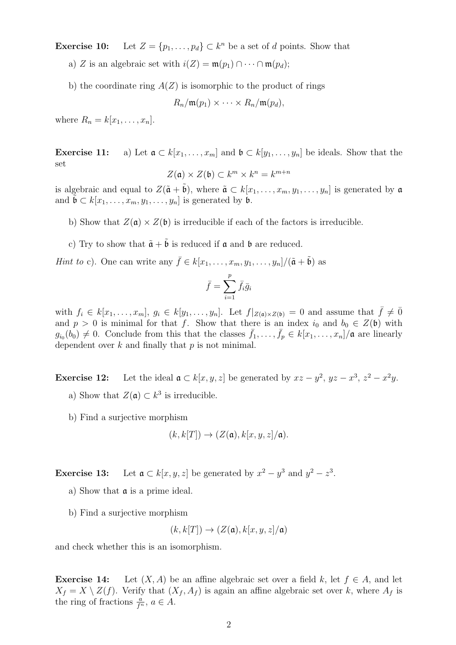**Exercise 10:** Let  $Z = \{p_1, \ldots, p_d\} \subset k^n$  be a set of d points. Show that

- a) Z is an algebraic set with  $i(Z) = \mathfrak{m}(p_1) \cap \cdots \cap \mathfrak{m}(p_d);$
- b) the coordinate ring  $A(Z)$  is isomorphic to the product of rings

$$
R_n/\mathfrak{m}(p_1) \times \cdots \times R_n/\mathfrak{m}(p_d),
$$

where  $R_n = k[x_1, \ldots, x_n]$ .

**Exercise 11:** a) Let  $\mathfrak{a} \subset k[x_1,\ldots,x_m]$  and  $\mathfrak{b} \subset k[y_1,\ldots,y_n]$  be ideals. Show that the set

$$
Z(\mathfrak{a}) \times Z(\mathfrak{b}) \subset k^m \times k^n = k^{m+n}
$$

is algebraic and equal to  $Z(\tilde{\mathfrak{a}} + \tilde{\mathfrak{b}})$ , where  $\tilde{\mathfrak{a}} \subset k[x_1, \ldots, x_m, y_1, \ldots, y_n]$  is generated by  $\mathfrak{a}$ and  $\tilde{\mathfrak{b}} \subset k[x_1, \ldots, x_m, y_1, \ldots, y_n]$  is generated by  $\mathfrak{b}$ .

- b) Show that  $Z(\mathfrak{a}) \times Z(\mathfrak{b})$  is irreducible if each of the factors is irreducible.
- c) Try to show that  $\tilde{\mathfrak{a}} + \tilde{\mathfrak{b}}$  is reduced if  $\mathfrak{a}$  and  $\mathfrak{b}$  are reduced.
- *Hint to* c). One can write any  $\bar{f} \in k[x_1, \ldots, x_m, y_1, \ldots, y_n]/(\tilde{a} + \tilde{b})$  as

$$
\bar{f} = \sum_{i=1}^p \bar{f}_i \bar{g}_i
$$

with  $f_i \in k[x_1,\ldots,x_m], g_i \in k[y_1,\ldots,y_n]$ . Let  $f|_{Z(\mathfrak{a})\times Z(\mathfrak{b})}=0$  and assume that  $\bar{f}\neq 0$ and  $p > 0$  is minimal for that f. Show that there is an index  $i_0$  and  $b_0 \in Z(\mathfrak{b})$  with  $g_{i_0}(b_0) \neq 0$ . Conclude from this that the classes  $\bar{f}_1, \ldots, \bar{f}_p \in k[x_1, \ldots, x_n]/\mathfrak{a}$  are linearly dependent over  $k$  and finally that  $p$  is not minimal.

**Exercise 12:** Let the ideal  $a \text{ }\subset k[x, y, z]$  be generated by  $xz - y^2$ ,  $yz - x^3$ ,  $z^2 - x^2y$ . a) Show that  $Z(\mathfrak{a}) \subset k^3$  is irreducible.

b) Find a surjective morphism

$$
(k, k[T]) \to (Z(\mathfrak{a}), k[x, y, z]/\mathfrak{a}).
$$

**Exercise 13:** Let  $a \text{ }\subset k[x,y,z]$  be generated by  $x^2 - y^3$  and  $y^2 - z^3$ .

- a) Show that  $\alpha$  is a prime ideal.
- b) Find a surjective morphism

$$
(k, k[T]) \rightarrow (Z(\mathfrak{a}), k[x, y, z]/\mathfrak{a})
$$

and check whether this is an isomorphism.

**Exercise 14:** Let  $(X, A)$  be an affine algebraic set over a field k, let  $f \in A$ , and let  $X_f = X \setminus Z(f)$ . Verify that  $(X_f, A_f)$  is again an affine algebraic set over k, where  $A_f$  is the ring of fractions  $\frac{a}{f^n}$ ,  $a \in A$ .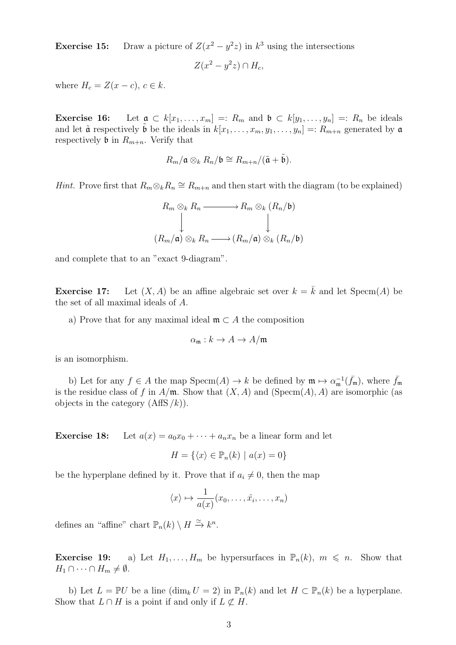**Exercise 15:** Draw a picture of  $Z(x^2 - y^2z)$  in  $k^3$  using the intersections

$$
Z(x^2 - y^2 z) \cap H_c,
$$

where  $H_c = Z(x - c)$ ,  $c \in k$ .

**Exercise 16:** Let  $a \subset k[x_1, \ldots, x_m] =: R_m$  and  $b \subset k[y_1, \ldots, y_n] =: R_n$  be ideals and let  $\tilde{\mathfrak{a}}$  respectively  $\tilde{\mathfrak{b}}$  be the ideals in  $k[x_1, \ldots, x_m, y_1, \ldots, y_n] =: R_{m+n}$  generated by  $\mathfrak{a}$ respectively **b** in  $R_{m+n}$ . Verify that

$$
R_m/\mathfrak{a}\otimes_k R_n/\mathfrak{b}\cong R_{m+n}/(\tilde{\mathfrak{a}}+\tilde{\mathfrak{b}}).
$$

*Hint.* Prove first that  $R_m \otimes_k R_n \cong R_{m+n}$  and then start with the diagram (to be explained)

$$
R_m \otimes_k R_n \longrightarrow R_m \otimes_k (R_n/\mathfrak{b})
$$
  
\n
$$
\downarrow \qquad \qquad \downarrow
$$
  
\n
$$
(R_m/\mathfrak{a}) \otimes_k R_n \longrightarrow (R_m/\mathfrak{a}) \otimes_k (R_n/\mathfrak{b})
$$

and complete that to an "exact 9-diagram".

**Exercise 17:** Let  $(X, A)$  be an affine algebraic set over  $k = \overline{k}$  and let Specm $(A)$  be the set of all maximal ideals of A.

a) Prove that for any maximal ideal  $\mathfrak{m} \subset A$  the composition

$$
\alpha_{\mathfrak{m}}: k \to A \to A/\mathfrak{m}
$$

is an isomorphism.

b) Let for any  $f \in A$  the map  $Specm(A) \to k$  be defined by  $\mathfrak{m} \mapsto \alpha_{\mathfrak{m}}^{-1}(\bar{f}_{\mathfrak{m}})$ , where  $\bar{f}_{\mathfrak{m}}$ is the residue class of f in  $A/\mathfrak{m}$ . Show that  $(X, A)$  and  $(Specm(A), A)$  are isomorphic (as objects in the category  $(AffS/k)$ .

**Exercise 18:** Let  $a(x) = a_0x_0 + \cdots + a_nx_n$  be a linear form and let

$$
H = \{ \langle x \rangle \in \mathbb{P}_n(k) \mid a(x) = 0 \}
$$

be the hyperplane defined by it. Prove that if  $a_i \neq 0$ , then the map

$$
\langle x \rangle \mapsto \frac{1}{a(x)}(x_0, \dots, \hat{x_i}, \dots, x_n)
$$

defines an "affine" chart  $\mathbb{P}_n(k) \setminus H \xrightarrow{\simeq} k^n$ .

**Exercise 19:** a) Let  $H_1, \ldots, H_m$  be hypersurfaces in  $\mathbb{P}_n(k)$ ,  $m \leq n$ . Show that  $H_1 \cap \cdots \cap H_m \neq \emptyset.$ 

b) Let  $L = \mathbb{P} U$  be a line  $(\dim_k U = 2)$  in  $\mathbb{P}_n(k)$  and let  $H \subset \mathbb{P}_n(k)$  be a hyperplane. Show that  $L \cap H$  is a point if and only if  $L \not\subset H$ .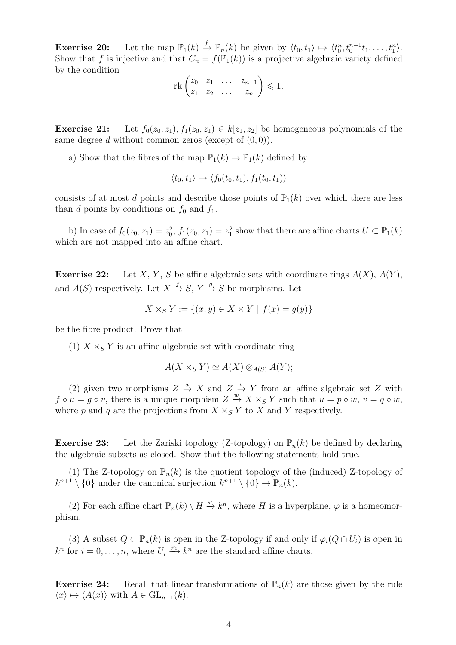**Exercise 20:** Let the map  $\mathbb{P}_1(k) \stackrel{f}{\to} \mathbb{P}_n(k)$  be given by  $\langle t_0, t_1 \rangle \mapsto \langle t_0^n, t_0^{n-1}t_1, \ldots, t_1^n \rangle$ . Show that f is injective and that  $C_n = f(\mathbb{P}_1(k))$  is a projective algebraic variety defined by the condition

$$
\operatorname{rk}\begin{pmatrix}z_0 & z_1 & \dots & z_{n-1} \\ z_1 & z_2 & \dots & z_n\end{pmatrix} \leq 1.
$$

**Exercise 21:** Let  $f_0(z_0, z_1), f_1(z_0, z_1) \in k[z_1, z_2]$  be homogeneous polynomials of the same degree d without common zeros (except of  $(0, 0)$ ).

a) Show that the fibres of the map  $\mathbb{P}_1(k) \to \mathbb{P}_1(k)$  defined by

$$
\langle t_0, t_1 \rangle \mapsto \langle f_0(t_0, t_1), f_1(t_0, t_1) \rangle
$$

consists of at most d points and describe those points of  $\mathbb{P}_1(k)$  over which there are less than d points by conditions on  $f_0$  and  $f_1$ .

b) In case of  $f_0(z_0, z_1) = z_0^2$ ,  $f_1(z_0, z_1) = z_1^2$  show that there are affine charts  $U \subset \mathbb{P}_1(k)$ which are not mapped into an affine chart.

**Exercise 22:** Let X, Y, S be affine algebraic sets with coordinate rings  $A(X)$ ,  $A(Y)$ , and  $A(S)$  respectively. Let  $X \xrightarrow{f} S$ ,  $Y \xrightarrow{g} S$  be morphisms. Let

$$
X \times_S Y := \{(x, y) \in X \times Y \mid f(x) = g(y)\}
$$

be the fibre product. Prove that

(1)  $X \times_S Y$  is an affine algebraic set with coordinate ring

$$
A(X \times_S Y) \simeq A(X) \otimes_{A(S)} A(Y);
$$

(2) given two morphisms  $Z \stackrel{u}{\rightarrow} X$  and  $Z \stackrel{v}{\rightarrow} Y$  from an affine algebraic set Z with  $f \circ u = g \circ v$ , there is a unique morphism  $Z \stackrel{w}{\to} X \times_S Y$  such that  $u = p \circ w$ ,  $v = q \circ w$ , where p and q are the projections from  $X \times_S Y$  to X and Y respectively.

**Exercise 23:** Let the Zariski topology (Z-topology) on  $\mathbb{P}_n(k)$  be defined by declaring the algebraic subsets as closed. Show that the following statements hold true.

(1) The Z-topology on  $\mathbb{P}_n(k)$  is the quotient topology of the (induced) Z-topology of  $k^{n+1} \setminus \{0\}$  under the canonical surjection  $k^{n+1} \setminus \{0\} \to \mathbb{P}_n(k)$ .

(2) For each affine chart  $\mathbb{P}_n(k) \setminus H \stackrel{\varphi}{\to} k^n$ , where H is a hyperplane,  $\varphi$  is a homeomorphism.

(3) A subset  $Q \subset \mathbb{P}_n(k)$  is open in the Z-topology if and only if  $\varphi_i(Q \cap U_i)$  is open in  $k^n$  for  $i = 0, \ldots, n$ , where  $U_i \stackrel{\varphi_i}{\longrightarrow} k^n$  are the standard affine charts.

**Exercise 24:** Recall that linear transformations of  $\mathbb{P}_n(k)$  are those given by the rule  $\langle x \rangle \mapsto \langle A(x) \rangle$  with  $A \in GL_{n-1}(k)$ .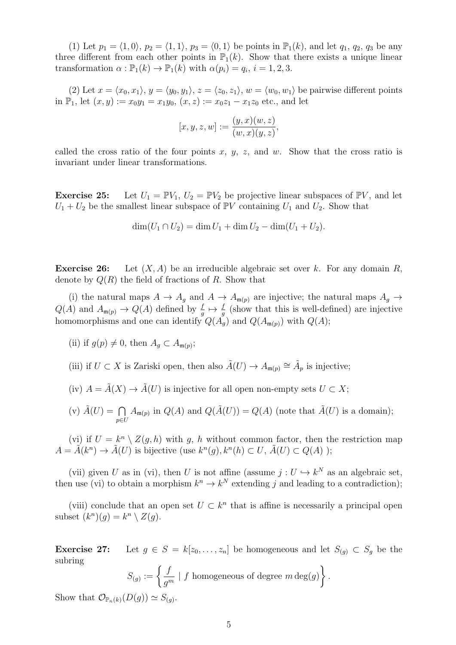(1) Let  $p_1 = \langle 1, 0 \rangle$ ,  $p_2 = \langle 1, 1 \rangle$ ,  $p_3 = \langle 0, 1 \rangle$  be points in  $\mathbb{P}_1(k)$ , and let  $q_1, q_2, q_3$  be any three different from each other points in  $\mathbb{P}_1(k)$ . Show that there exists a unique linear transformation  $\alpha : \mathbb{P}_1(k) \to \mathbb{P}_1(k)$  with  $\alpha(p_i) = q_i$ ,  $i = 1, 2, 3$ .

(2) Let  $x = \langle x_0, x_1 \rangle$ ,  $y = \langle y_0, y_1 \rangle$ ,  $z = \langle z_0, z_1 \rangle$ ,  $w = \langle w_0, w_1 \rangle$  be pairwise different points in  $\mathbb{P}_1$ , let  $(x, y) := x_0 y_1 = x_1 y_0$ ,  $(x, z) := x_0 z_1 - x_1 z_0$  etc., and let

$$
[x, y, z, w] := \frac{(y, x)(w, z)}{(w, x)(y, z)},
$$

called the cross ratio of the four points x, y, z, and w. Show that the cross ratio is invariant under linear transformations.

**Exercise 25:** Let  $U_1 = \mathbb{P}V_1$ ,  $U_2 = \mathbb{P}V_2$  be projective linear subspaces of  $\mathbb{P}V$ , and let  $U_1 + U_2$  be the smallest linear subspace of PV containing  $U_1$  and  $U_2$ . Show that

$$
\dim(U_1 \cap U_2) = \dim U_1 + \dim U_2 - \dim(U_1 + U_2).
$$

**Exercise 26:** Let  $(X, A)$  be an irreducible algebraic set over k. For any domain R, denote by  $Q(R)$  the field of fractions of R. Show that

(i) the natural maps  $A \to A_g$  and  $A \to A_{\mathfrak{m}(p)}$  are injective; the natural maps  $A_g \to$  $Q(A)$  and  $A_{\mathfrak{m}(p)} \to Q(A)$  defined by  $\frac{f}{g} \mapsto \frac{f}{g}$  (show that this is well-defined) are injective homomorphisms and one can identify  $Q(A_g)$  and  $Q(A_{\mathfrak{m}(p)})$  with  $Q(A);$ 

- (ii) if  $g(p) \neq 0$ , then  $A_g \subset A_{\mathfrak{m}(p)}$ ;
- (iii) if  $U \subset X$  is Zariski open, then also  $\tilde{A}(U) \to A_{\mathfrak{m}(p)} \cong \tilde{A}_p$  is injective;
- (iv)  $A = \tilde{A}(X) \rightarrow \tilde{A}(U)$  is injective for all open non-empty sets  $U \subset X$ ;
- (v)  $\tilde{A}(U) = \bigcap$ p∈U  $A_{\mathfrak{m}(p)}$  in  $Q(A)$  and  $Q(\tilde{A}(U)) = Q(A)$  (note that  $\tilde{A}(U)$  is a domain);

(vi) if  $U = k^n \setminus Z(g, h)$  with g, h without common factor, then the restriction map  $A = \tilde{A}(k^n) \rightarrow \tilde{A}(U)$  is bijective (use  $k^n(g), k^n(h) \subset U, \tilde{A}(U) \subset Q(A)$ );

(vii) given U as in (vi), then U is not affine (assume  $j: U \hookrightarrow k^N$  as an algebraic set, then use (vi) to obtain a morphism  $k^n \to k^N$  extending j and leading to a contradiction);

(viii) conclude that an open set  $U \subset k^n$  that is affine is necessarily a principal open subset  $(k^n)(g) = k^n \setminus Z(g)$ .

**Exercise 27:** Let  $g \in S = k[z_0, \ldots, z_n]$  be homogeneous and let  $S_{(g)} \subset S_g$  be the subring

$$
S_{(g)} := \left\{ \frac{f}{g^m} \mid f \text{ homogeneous of degree } m \deg(g) \right\}.
$$

Show that  $\mathcal{O}_{\mathbb{P}_n(k)}(D(g)) \simeq S_{(g)}$ .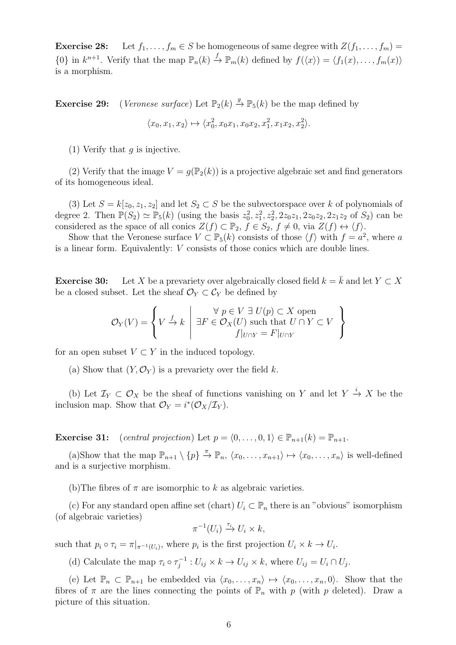**Exercise 28:** Let  $f_1, \ldots, f_m \in S$  be homogeneous of same degree with  $Z(f_1, \ldots, f_m)$  $\{0\}$  in  $k^{n+1}$ . Verify that the map  $\mathbb{P}_n(k) \stackrel{f}{\to} \mathbb{P}_m(k)$  defined by  $f(\langle x \rangle) = \langle f_1(x), \ldots, f_m(x) \rangle$ is a morphism.

**Exercise 29:** (*Veronese surface*) Let  $\mathbb{P}_2(k) \stackrel{g}{\to} \mathbb{P}_5(k)$  be the map defined by

$$
\langle x_0, x_1, x_2 \rangle \mapsto \langle x_0^2, x_0x_1, x_0x_2, x_1^2, x_1x_2, x_2^2 \rangle.
$$

(1) Verify that  $q$  is injective.

(2) Verify that the image  $V = g(\mathbb{P}_2(k))$  is a projective algebraic set and find generators of its homogeneous ideal.

(3) Let  $S = k[z_0, z_1, z_2]$  and let  $S_2 \subset S$  be the subvectorspace over k of polynomials of degree 2. Then  $\mathbb{P}(S_2) \simeq \mathbb{P}_5(k)$  (using the basis  $z_0^2, z_1^2, z_2^2, 2z_0z_1, 2z_0z_2, 2z_1z_2$  of  $S_2$ ) can be considered as the space of all conics  $Z(f) \subset \mathbb{P}_2$ ,  $f \in S_2$ ,  $f \neq 0$ , via  $Z(f) \leftrightarrow \langle f \rangle$ .

Show that the Veronese surface  $V \subset \mathbb{P}_5(k)$  consists of those  $\langle f \rangle$  with  $f = a^2$ , where a is a linear form. Equivalently: V consists of those conics which are double lines.

**Exercise 30:** Let X be a prevariety over algebraically closed field  $k = \overline{k}$  and let  $Y \subset X$ be a closed subset. Let the sheaf  $\mathcal{O}_Y \subset \mathcal{C}_Y$  be defined by

$$
\mathcal{O}_Y(V) = \left\{ V \xrightarrow{f} k \mid \exists F \in \mathcal{O}_X(U) \text{ such that } U \cap Y \subset V \atop f|_{U \cap Y} = F|_{U \cap Y} \right\}
$$

for an open subset  $V \subset Y$  in the induced topology.

(a) Show that  $(Y, \mathcal{O}_Y)$  is a prevariety over the field k.

(b) Let  $\mathcal{I}_Y \subset \mathcal{O}_X$  be the sheaf of functions vanishing on Y and let  $Y \stackrel{i}{\to} X$  be the inclusion map. Show that  $\mathcal{O}_Y = i^*(\mathcal{O}_X/\mathcal{I}_Y)$ .

**Exercise 31:** (central projection) Let  $p = \langle 0, \ldots, 0, 1 \rangle \in \mathbb{P}_{n+1}(k) = \mathbb{P}_{n+1}$ .

(a)Show that the map  $\mathbb{P}_{n+1} \setminus \{p\} \stackrel{\pi}{\to} \mathbb{P}_n$ ,  $\langle x_0, \ldots, x_{n+1} \rangle \mapsto \langle x_0, \ldots, x_n \rangle$  is well-defined and is a surjective morphism.

(b) The fibres of  $\pi$  are isomorphic to k as algebraic varieties.

(c) For any standard open affine set (chart)  $U_i \subset \mathbb{P}_n$  there is an "obvious" isomorphism (of algebraic varieties)

$$
\pi^{-1}(U_i) \xrightarrow{\tau_i} U_i \times k,
$$

such that  $p_i \circ \tau_i = \pi|_{\pi^{-1}(U_i)}$ , where  $p_i$  is the first projection  $U_i \times k \to U_i$ .

(d) Calculate the map  $\tau_i \circ \tau_i^{-1}$  $U_{ij}^{-1}: U_{ij} \times k \to U_{ij} \times k$ , where  $U_{ij} = U_i \cap U_j$ .

(e) Let  $\mathbb{P}_n \subset \mathbb{P}_{n+1}$  be embedded via  $\langle x_0, \ldots, x_n \rangle \mapsto \langle x_0, \ldots, x_n, 0 \rangle$ . Show that the fibres of  $\pi$  are the lines connecting the points of  $\mathbb{P}_n$  with p (with p deleted). Draw a picture of this situation.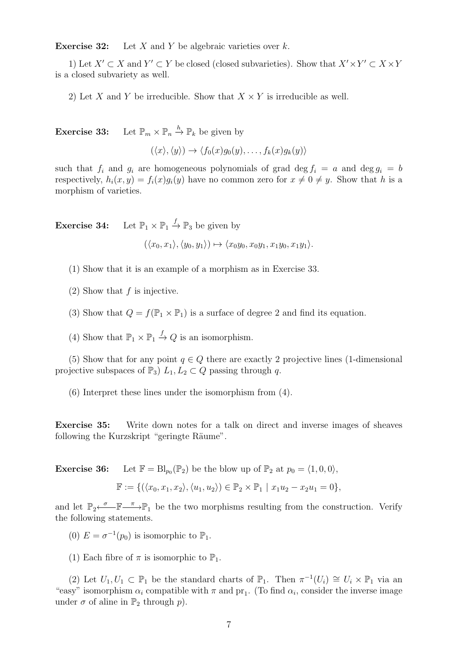**Exercise 32:** Let X and Y be algebraic varieties over  $k$ .

1) Let  $X' \subset X$  and  $Y' \subset Y$  be closed (closed subvarieties). Show that  $X' \times Y' \subset X \times Y$ is a closed subvariety as well.

2) Let X and Y be irreducible. Show that  $X \times Y$  is irreducible as well.

**Exercise 33:** Let  $\mathbb{P}_m \times \mathbb{P}_n \stackrel{h}{\to} \mathbb{P}_k$  be given by

$$
(\langle x \rangle, \langle y \rangle) \rightarrow \langle f_0(x)g_0(y), \dots, f_k(x)g_k(y) \rangle
$$

such that  $f_i$  and  $g_i$  are homogeneous polynomials of grad deg  $f_i = a$  and deg  $g_i = b$ respectively,  $h_i(x, y) = f_i(x)g_i(y)$  have no common zero for  $x \neq 0 \neq y$ . Show that h is a morphism of varieties.

**Exercise 34:** Let  $\mathbb{P}_1 \times \mathbb{P}_1 \stackrel{f}{\to} \mathbb{P}_3$  be given by

 $(\langle x_0, x_1 \rangle, \langle y_0, y_1 \rangle) \mapsto \langle x_0 y_0, x_0 y_1, x_1 y_0, x_1 y_1 \rangle.$ 

(1) Show that it is an example of a morphism as in Exercise 33.

- $(2)$  Show that f is injective.
- (3) Show that  $Q = f(\mathbb{P}_1 \times \mathbb{P}_1)$  is a surface of degree 2 and find its equation.
- (4) Show that  $\mathbb{P}_1 \times \mathbb{P}_1 \stackrel{f}{\to} Q$  is an isomorphism.

(5) Show that for any point  $q \in Q$  there are exactly 2 projective lines (1-dimensional projective subspaces of  $\mathbb{P}_3$ )  $L_1, L_2 \subset Q$  passing through q.

(6) Interpret these lines under the isomorphism from (4).

Exercise 35: Write down notes for a talk on direct and inverse images of sheaves following the Kurzskript "geringte Räume".

**Exercise 36:** Let  $\mathbb{F} = \text{Bl}_{p_0}(\mathbb{P}_2)$  be the blow up of  $\mathbb{P}_2$  at  $p_0 = \langle 1, 0, 0 \rangle$ ,

$$
\mathbb{F} := \{ (\langle x_0, x_1, x_2 \rangle, \langle u_1, u_2 \rangle) \in \mathbb{P}_2 \times \mathbb{P}_1 \mid x_1 u_2 - x_2 u_1 = 0 \},
$$

and let  $\mathbb{P}_2 \leftarrow \mathbb{F} \longrightarrow \mathbb{P}_1$  be the two morphisms resulting from the construction. Verify the following statements.

- (0)  $E = \sigma^{-1}(p_0)$  is isomorphic to  $\mathbb{P}_1$ .
- (1) Each fibre of  $\pi$  is isomorphic to  $\mathbb{P}_1$ .

(2) Let  $U_1, U_1 \subset \mathbb{P}_1$  be the standard charts of  $\mathbb{P}_1$ . Then  $\pi^{-1}(U_i) \cong U_i \times \mathbb{P}_1$  via an "easy" isomorphism  $\alpha_i$  compatible with  $\pi$  and  $\text{pr}_1$ . (To find  $\alpha_i$ , consider the inverse image under  $\sigma$  of aline in  $\mathbb{P}_2$  through  $p$ ).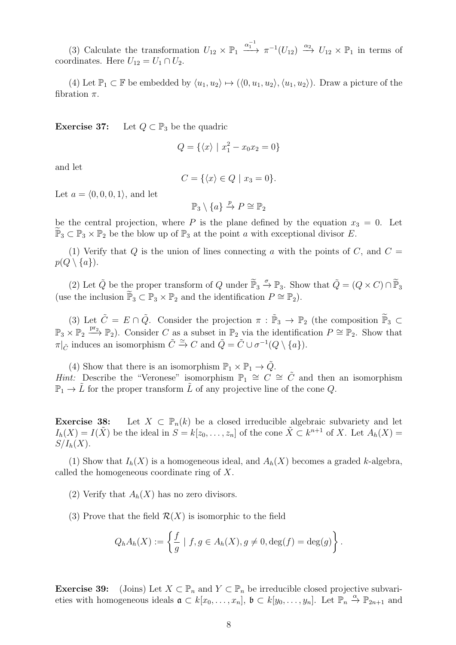(3) Calculate the transformation  $U_{12} \times \mathbb{P}_1 \xrightarrow{\alpha_1^{-1}} \pi^{-1}(U_{12}) \xrightarrow{\alpha_2} U_{12} \times \mathbb{P}_1$  in terms of coordinates. Here  $U_{12} = U_1 \cap U_2$ .

(4) Let  $\mathbb{P}_1 \subset \mathbb{F}$  be embedded by  $\langle u_1, u_2 \rangle \mapsto (\langle 0, u_1, u_2 \rangle, \langle u_1, u_2 \rangle)$ . Draw a picture of the fibration  $\pi$ .

Exercise 37: Let  $Q \subset \mathbb{P}_3$  be the quadric

$$
Q = \{ \langle x \rangle \mid x_1^2 - x_0 x_2 = 0 \}
$$

and let

$$
C = \{ \langle x \rangle \in Q \mid x_3 = 0 \}.
$$

Let  $a = \langle 0, 0, 0, 1 \rangle$ , and let

$$
\mathbb{P}_3\setminus\{a\}\xrightarrow{p}P\cong\mathbb{P}_2
$$

be the central projection, where P is the plane defined by the equation  $x_3 = 0$ . Let  $\mathbb{P}_3 \subset \mathbb{P}_3 \times \mathbb{P}_2$  be the blow up of  $\mathbb{P}_3$  at the point a with exceptional divisor E.

(1) Verify that Q is the union of lines connecting a with the points of C, and  $C =$  $p(Q \setminus \{a\}).$ 

(2) Let  $\tilde{Q}$  be the proper transform of  $Q$  under  $\tilde{\mathbb{P}}_3 \stackrel{\sigma}{\rightarrow} \mathbb{P}_3$ . Show that  $\tilde{Q} = (Q \times C) \cap \tilde{\mathbb{P}}_3$ (use the inclusion  $\widetilde{\mathbb{P}}_3 \subset \mathbb{P}_3 \times \mathbb{P}_2$  and the identification  $P \cong \mathbb{P}_2$ ).

(3) Let  $\tilde{C} = E \cap \tilde{Q}$ . Consider the projection  $\pi : \tilde{\mathbb{P}}_3 \to \mathbb{P}_2$  (the composition  $\tilde{\mathbb{P}}_3 \subset \mathbb{P}$  $\mathbb{P}_3 \times \mathbb{P}_2 \xrightarrow{\text{pr}_2} \mathbb{P}_2$ ). Consider C as a subset in  $\mathbb{P}_2$  via the identification  $P \cong \mathbb{P}_2$ . Show that  $\pi|_{\tilde{C}}$  induces an isomorphism  $\tilde{C} \stackrel{\simeq}{\rightarrow} C$  and  $\tilde{Q} = \tilde{C} \cup \sigma^{-1}(Q \setminus \{a\}).$ 

(4) Show that there is an isomorphism  $\mathbb{P}_1 \times \mathbb{P}_1 \to \tilde{Q}$ . Hint: Describe the "Veronese" isomorphism  $\mathbb{P}_1 \cong C \cong \tilde{C}$  and then an isomorphism  $\mathbb{P}_1 \to L$  for the proper transform L of any projective line of the cone Q.

**Exercise 38:** Let  $X \subset \mathbb{P}_n(k)$  be a closed irreducible algebraic subvariety and let  $I_h(X) = I(\tilde{X})$  be the ideal in  $S = k[z_0, \ldots, z_n]$  of the cone  $\tilde{X} \subset k^{n+1}$  of X. Let  $A_h(X) =$  $S/I_h(X)$ .

(1) Show that  $I_h(X)$  is a homogeneous ideal, and  $A_h(X)$  becomes a graded k-algebra, called the homogeneous coordinate ring of X.

- (2) Verify that  $A_h(X)$  has no zero divisors.
- (3) Prove that the field  $\mathcal{R}(X)$  is isomorphic to the field

$$
Q_h A_h(X) := \left\{ \frac{f}{g} \mid f, g \in A_h(X), g \neq 0, \deg(f) = \deg(g) \right\}.
$$

**Exercise 39:** (Joins) Let  $X \subset \mathbb{P}_n$  and  $Y \subset \mathbb{P}_n$  be irreducible closed projective subvarieties with homogeneous ideals  $\mathfrak{a} \subset k[x_0,\ldots,x_n]$ ,  $\mathfrak{b} \subset k[y_0,\ldots,y_n]$ . Let  $\mathbb{P}_n \stackrel{\alpha}{\to} \mathbb{P}_{2n+1}$  and